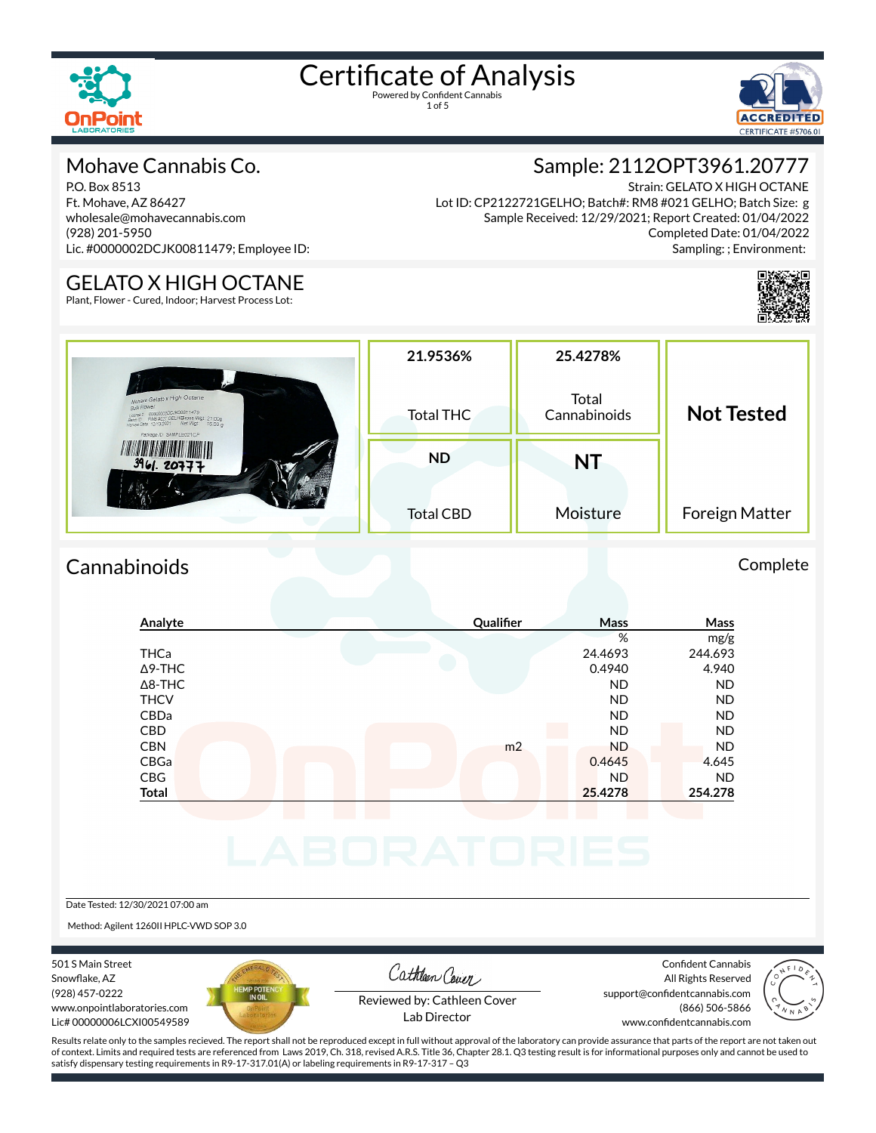



#### Mohave Cannabis Co.

P.O. Box 8513 Ft. Mohave, AZ 86427 wholesale@mohavecannabis.com (928) 201-5950 Lic. #0000002DCJK00811479; Employee ID:

Strain: GELATO X HIGH OCTANE Lot ID: CP2122721GELHO; Batch#: RM8 #021 GELHO; Batch Size: g Sample Received: 12/29/2021; Report Created: 01/04/2022 Completed Date: 01/04/2022 Sampling: ; Environment:

Sample: 2112OPT3961.20777



#### GELATO X HIGH OCTANE

Plant, Flower - Cured, Indoor; Harvest Process Lot:

|                                                                                                                                                                                              | 21.9536%         | 25.4278%              |                   |
|----------------------------------------------------------------------------------------------------------------------------------------------------------------------------------------------|------------------|-----------------------|-------------------|
| Mohave Gelato x High Octane<br>Bulk Flower<br>Upper 2 00000002DCJK00811479<br>Batch D RM8 4021 GELH@Ross Wgt: 21.00g<br>Harvest Date: 12/13/2021 Net Wgt: 16.00 g<br>Package ID: SAMPLE021CP | <b>Total THC</b> | Total<br>Cannabinoids | <b>Not Tested</b> |
| 3961.20777                                                                                                                                                                                   | <b>ND</b>        | NT                    |                   |
|                                                                                                                                                                                              | <b>Total CBD</b> | Moisture              | Foreign Matter    |

#### Cannabinoids Complete

| Analyte        | Qualifier      | Mass      | Mass      |
|----------------|----------------|-----------|-----------|
|                |                | %         | mg/g      |
| THCa           |                | 24.4693   | 244.693   |
| $\Delta$ 9-THC |                | 0.4940    | 4.940     |
| $\Delta$ 8-THC |                | <b>ND</b> | <b>ND</b> |
| <b>THCV</b>    |                | <b>ND</b> | <b>ND</b> |
| CBDa           |                | <b>ND</b> | <b>ND</b> |
| <b>CBD</b>     |                | <b>ND</b> | <b>ND</b> |
| <b>CBN</b>     | m <sub>2</sub> | <b>ND</b> | <b>ND</b> |
| CBGa           |                | 0.4645    | 4.645     |
| CBG            |                | <b>ND</b> | <b>ND</b> |
| Total          |                | 25.4278   | 254.278   |
|                |                |           |           |
|                |                |           |           |
|                |                |           |           |
|                |                |           |           |
|                |                |           |           |

#### Date Tested: 12/30/2021 07:00 am

Method: Agilent 1260II HPLC-VWD SOP 3.0

501 S Main Street Snowflake, AZ (928) 457-0222 www.onpointlaboratories.com Lic# 00000006LCXI00549589



Cathleen Cover

Confident Cannabis All Rights Reserved support@confidentcannabis.com (866) 506-5866



Reviewed by: Cathleen Cover Lab Director

www.confidentcannabis.com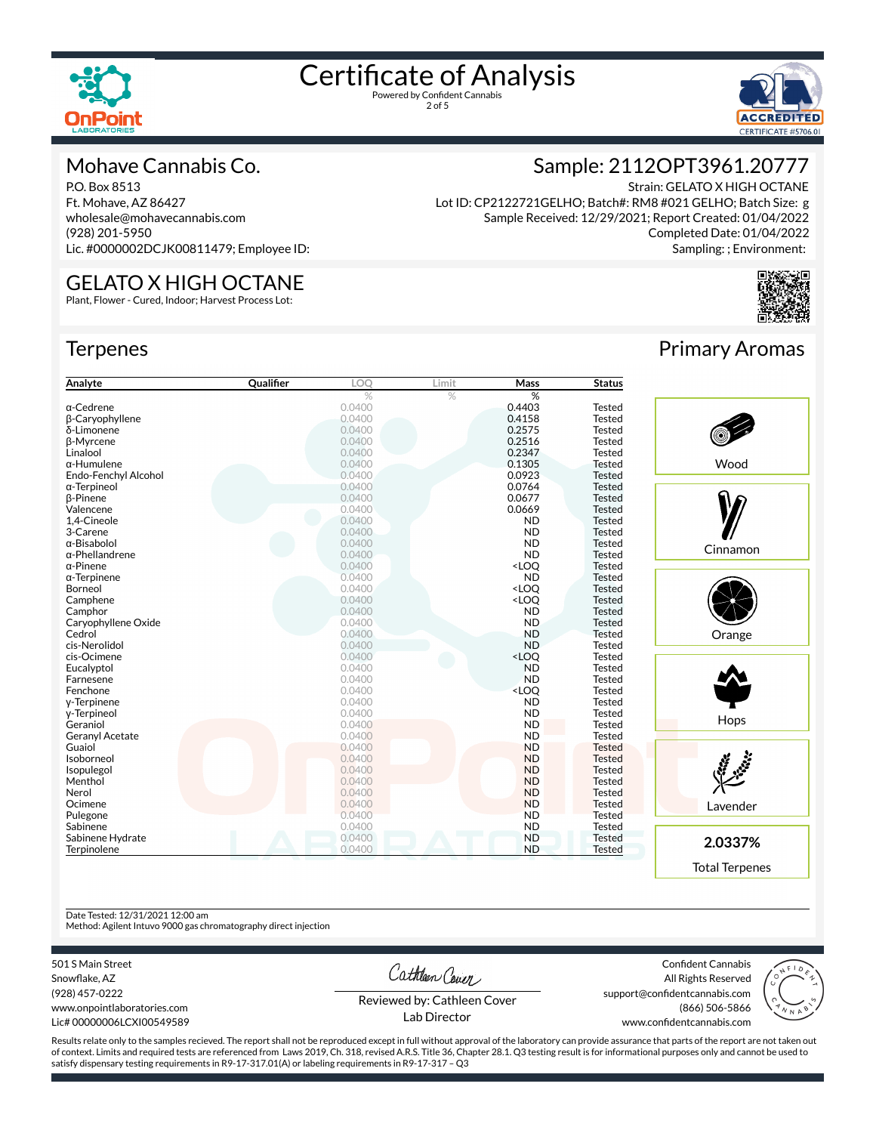

2 of 5



#### Mohave Cannabis Co.

P.O. Box 8513 Ft. Mohave, AZ 86427 wholesale@mohavecannabis.com (928) 201-5950 Lic. #0000002DCJK00811479; Employee ID:

GELATO X HIGH OCTANE Plant, Flower - Cured, Indoor; Harvest Process Lot:

### Sample: 2112OPT3961.20777

Strain: GELATO X HIGH OCTANE Lot ID: CP2122721GELHO; Batch#: RM8 #021 GELHO; Batch Size: g Sample Received: 12/29/2021; Report Created: 01/04/2022 Completed Date: 01/04/2022 Sampling: ; Environment:

## **Terpenes**

| Analyte                | Qualifier | LOQ           | Limit | <b>Mass</b>                               | <b>Status</b> |
|------------------------|-----------|---------------|-------|-------------------------------------------|---------------|
|                        |           | $\frac{0}{2}$ | %     | %                                         |               |
| $\alpha$ -Cedrene      |           | 0.0400        |       | 0.4403                                    | <b>Tested</b> |
| β-Caryophyllene        |           | 0.0400        |       | 0.4158                                    | <b>Tested</b> |
| δ-Limonene             |           | 0.0400        |       | 0.2575                                    | <b>Tested</b> |
| β-Myrcene              |           | 0.0400        |       | 0.2516                                    | <b>Tested</b> |
| Linalool               |           | 0.0400        |       | 0.2347                                    | <b>Tested</b> |
| $\alpha$ -Humulene     |           | 0.0400        |       | 0.1305                                    | <b>Tested</b> |
| Endo-Fenchyl Alcohol   |           | 0.0400        |       | 0.0923                                    | <b>Tested</b> |
| $\alpha$ -Terpineol    |           | 0.0400        |       | 0.0764                                    | <b>Tested</b> |
| <b>B-Pinene</b>        |           | 0.0400        |       | 0.0677                                    | <b>Tested</b> |
| Valencene              |           | 0.0400        |       | 0.0669                                    | <b>Tested</b> |
| 1,4-Cineole            |           | 0.0400        |       | <b>ND</b>                                 | <b>Tested</b> |
| 3-Carene               |           | 0.0400        |       | <b>ND</b>                                 | <b>Tested</b> |
| α-Bisabolol            |           | 0.0400        |       | <b>ND</b>                                 | <b>Tested</b> |
| $\alpha$ -Phellandrene |           | 0.0400        |       | <b>ND</b>                                 | <b>Tested</b> |
| $\alpha$ -Pinene       |           | 0.0400        |       | <loq< td=""><td><b>Tested</b></td></loq<> | <b>Tested</b> |
| $\alpha$ -Terpinene    |           | 0.0400        |       | <b>ND</b>                                 | <b>Tested</b> |
| Borneol                |           | 0.0400        |       | <loq< td=""><td><b>Tested</b></td></loq<> | <b>Tested</b> |
| Camphene               |           | 0.0400        |       | <loq< td=""><td><b>Tested</b></td></loq<> | <b>Tested</b> |
| Camphor                |           | 0.0400        |       | <b>ND</b>                                 | <b>Tested</b> |
| Caryophyllene Oxide    |           | 0.0400        |       | <b>ND</b>                                 | <b>Tested</b> |
| Cedrol                 |           | 0.0400        |       | <b>ND</b>                                 | <b>Tested</b> |
| cis-Nerolidol          |           | 0.0400        |       | <b>ND</b>                                 | <b>Tested</b> |
| cis-Ocimene            |           | 0.0400        |       | <loq< td=""><td>Tested</td></loq<>        | Tested        |
| Eucalyptol             |           | 0.0400        |       | <b>ND</b>                                 | <b>Tested</b> |
| Farnesene              |           | 0.0400        |       | <b>ND</b>                                 | <b>Tested</b> |
| Fenchone               |           | 0.0400        |       | <loq< td=""><td><b>Tested</b></td></loq<> | <b>Tested</b> |
| y-Terpinene            |           | 0.0400        |       | <b>ND</b>                                 | <b>Tested</b> |
| y-Terpineol            |           | 0.0400        |       | <b>ND</b>                                 | Tested        |
| Geraniol               |           | 0.0400        |       | <b>ND</b>                                 | <b>Tested</b> |
| <b>Geranyl Acetate</b> |           | 0.0400        |       | <b>ND</b>                                 | <b>Tested</b> |
| Guaiol                 |           | 0.0400        |       | <b>ND</b>                                 | <b>Tested</b> |
| Isoborneol             |           | 0.0400        |       | <b>ND</b>                                 | <b>Tested</b> |
|                        |           |               |       | <b>ND</b>                                 |               |
| Isopulegol             |           | 0.0400        |       |                                           | <b>Tested</b> |
| Menthol                |           | 0.0400        |       | <b>ND</b>                                 | <b>Tested</b> |
| Nerol                  |           | 0.0400        |       | <b>ND</b>                                 | <b>Tested</b> |
| Ocimene                |           | 0.0400        |       | <b>ND</b>                                 | <b>Tested</b> |
| Pulegone               |           | 0.0400        |       | <b>ND</b>                                 | <b>Tested</b> |
| Sabinene               |           | 0.0400        |       | <b>ND</b>                                 | <b>Tested</b> |
| Sabinene Hydrate       |           | 0.0400        |       | <b>ND</b>                                 | <b>Tested</b> |
| Terpinolene            |           | 0.0400        |       | <b>ND</b>                                 | <b>Tested</b> |



Primary Aromas





**2.0337%**

Total Terpenes

Date Tested: 12/31/2021 12:00 am

Method: Agilent Intuvo 9000 gas chromatography direct injection

501 S Main Street

Snowflake, AZ (928) 457-0222 www.onpointlaboratories.com Lic# 00000006LCXI00549589 Cathleen Cover

Confident Cannabis All Rights Reserved support@confidentcannabis.com (866) 506-5866



Reviewed by: Cathleen Cover Lab Director

www.confidentcannabis.com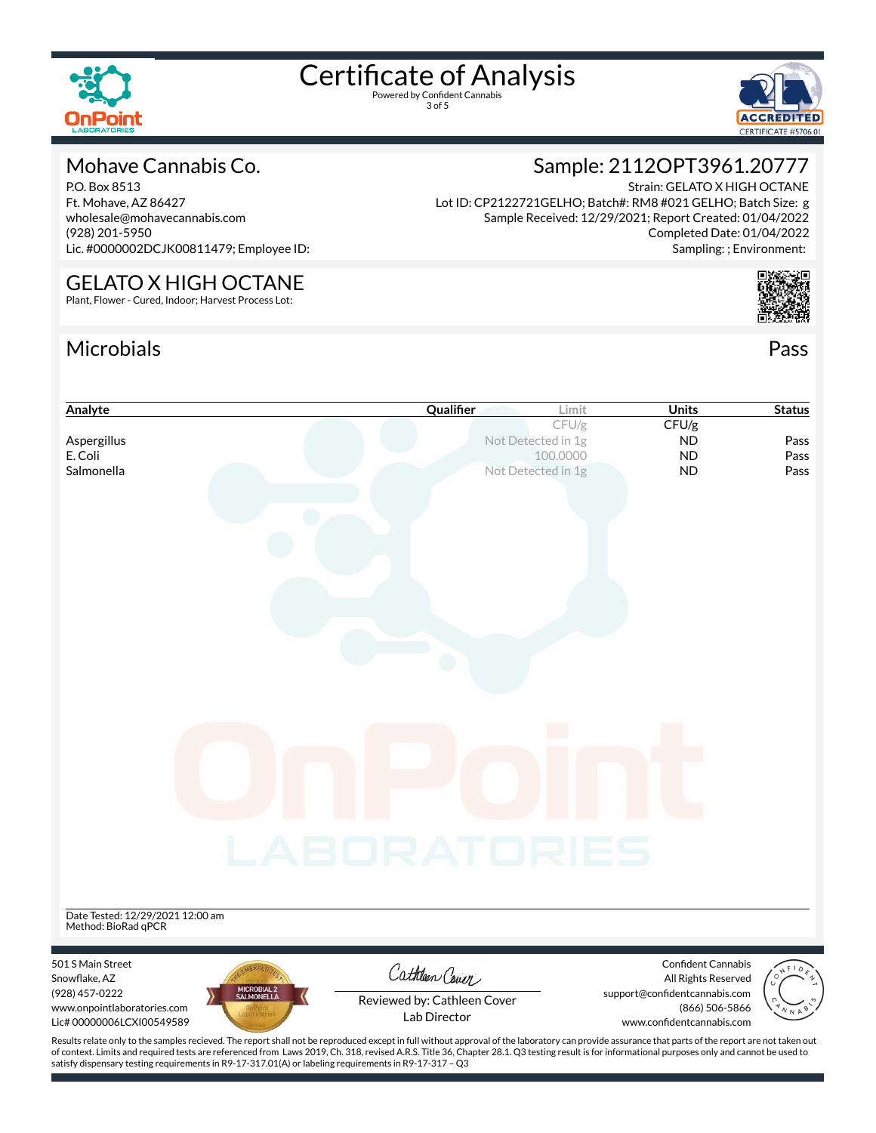

3 of 5



#### Mohave Cannabis Co.

P.O. Box 8513 Ft. Mohave, AZ 86427 wholesale@mohavecannabis.com (928) 201-5950 Lic. #0000002DCJK00811479; Employee ID:

Strain: GELATO X HIGH OCTANE Lot ID: CP2122721GELHO; Batch#: RM8 #021 GELHO; Batch Size: g Sample Received: 12/29/2021; Report Created: 01/04/2022 Completed Date: 01/04/2022 Sampling: ; Environment:

Sample: 2112OPT3961.20777

### GELATO X HIGH OCTANE

Plant, Flower - Cured, Indoor; Harvest Process Lot:

### Microbials Pass





of context. Limits and required tests are referenced from Laws 2019, Ch. 318, revised A.R.S. Title 36, Chapter 28.1. Q3 testing result is for informational purposes only and cannot be used to satisfy dispensary testing requirements in R9-17-317.01(A) or labeling requirements in R9-17-317 – Q3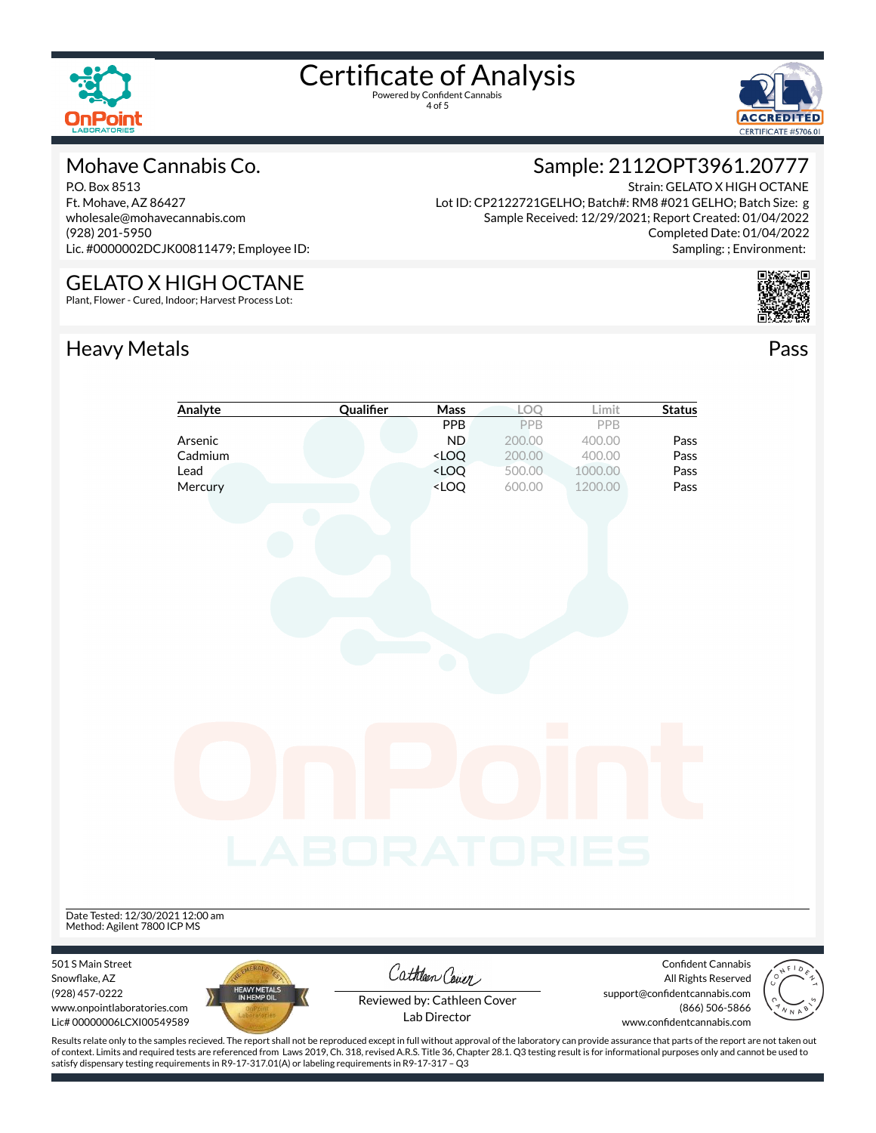

4 of 5



#### Mohave Cannabis Co.

P.O. Box 8513 Ft. Mohave, AZ 86427 wholesale@mohavecannabis.com (928) 201-5950 Lic. #0000002DCJK00811479; Employee ID:

GELATO X HIGH OCTANE Plant, Flower - Cured, Indoor; Harvest Process Lot:

#### Sample: 2112OPT3961.20777 Strain: GELATO X HIGH OCTANE Lot ID: CP2122721GELHO; Batch#: RM8 #021 GELHO; Batch Size: g

Sample Received: 12/29/2021; Report Created: 01/04/2022 Completed Date: 01/04/2022 Sampling: ; Environment:

#### Heavy Metals **Pass**